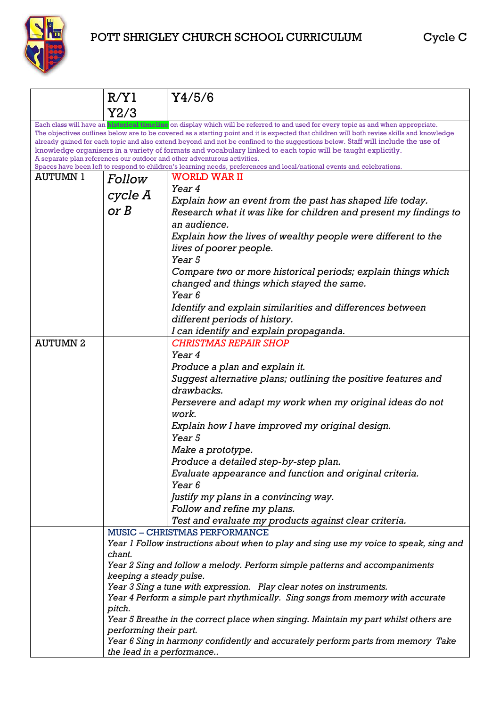

## POTT SHRIGLEY CHURCH SCHOOL CURRICULUM Cycle C

|                                                                                                                                                                                                                                                                                                                                                                                                                                                                                                                                                                                                                                                                                                                                                  | R/Y1                                                                                                                                                    | Y4/5/6                                                                               |  |  |
|--------------------------------------------------------------------------------------------------------------------------------------------------------------------------------------------------------------------------------------------------------------------------------------------------------------------------------------------------------------------------------------------------------------------------------------------------------------------------------------------------------------------------------------------------------------------------------------------------------------------------------------------------------------------------------------------------------------------------------------------------|---------------------------------------------------------------------------------------------------------------------------------------------------------|--------------------------------------------------------------------------------------|--|--|
|                                                                                                                                                                                                                                                                                                                                                                                                                                                                                                                                                                                                                                                                                                                                                  | Y2/3                                                                                                                                                    |                                                                                      |  |  |
| Each class will have an <b>historical timeline</b> on display which will be referred to and used for every topic as and when appropriate.<br>The objectives outlines below are to be covered as a starting point and it is expected that children will both revise skills and knowledge<br>already gained for each topic and also extend beyond and not be confined to the suggestions below. Staff will include the use of<br>knowledge organisers in a variety of formats and vocabulary linked to each topic will be taught explicitly.<br>A separate plan references our outdoor and other adventurous activities.<br>Spaces have been left to respond to children's learning needs, preferences and local/national events and celebrations. |                                                                                                                                                         |                                                                                      |  |  |
| <b>AUTUMN 1</b>                                                                                                                                                                                                                                                                                                                                                                                                                                                                                                                                                                                                                                                                                                                                  | <b>Follow</b>                                                                                                                                           | <b>WORLD WAR II</b>                                                                  |  |  |
|                                                                                                                                                                                                                                                                                                                                                                                                                                                                                                                                                                                                                                                                                                                                                  |                                                                                                                                                         | Year 4                                                                               |  |  |
|                                                                                                                                                                                                                                                                                                                                                                                                                                                                                                                                                                                                                                                                                                                                                  | cycle A                                                                                                                                                 | Explain how an event from the past has shaped life today.                            |  |  |
|                                                                                                                                                                                                                                                                                                                                                                                                                                                                                                                                                                                                                                                                                                                                                  | or B                                                                                                                                                    | Research what it was like for children and present my findings to                    |  |  |
|                                                                                                                                                                                                                                                                                                                                                                                                                                                                                                                                                                                                                                                                                                                                                  |                                                                                                                                                         | an audience.                                                                         |  |  |
|                                                                                                                                                                                                                                                                                                                                                                                                                                                                                                                                                                                                                                                                                                                                                  |                                                                                                                                                         | Explain how the lives of wealthy people were different to the                        |  |  |
|                                                                                                                                                                                                                                                                                                                                                                                                                                                                                                                                                                                                                                                                                                                                                  |                                                                                                                                                         | lives of poorer people.                                                              |  |  |
|                                                                                                                                                                                                                                                                                                                                                                                                                                                                                                                                                                                                                                                                                                                                                  |                                                                                                                                                         | Year <sub>5</sub>                                                                    |  |  |
|                                                                                                                                                                                                                                                                                                                                                                                                                                                                                                                                                                                                                                                                                                                                                  |                                                                                                                                                         | Compare two or more historical periods; explain things which                         |  |  |
|                                                                                                                                                                                                                                                                                                                                                                                                                                                                                                                                                                                                                                                                                                                                                  |                                                                                                                                                         | changed and things which stayed the same.                                            |  |  |
|                                                                                                                                                                                                                                                                                                                                                                                                                                                                                                                                                                                                                                                                                                                                                  |                                                                                                                                                         | Year <sub>6</sub>                                                                    |  |  |
|                                                                                                                                                                                                                                                                                                                                                                                                                                                                                                                                                                                                                                                                                                                                                  |                                                                                                                                                         | Identify and explain similarities and differences between                            |  |  |
|                                                                                                                                                                                                                                                                                                                                                                                                                                                                                                                                                                                                                                                                                                                                                  |                                                                                                                                                         | different periods of history.                                                        |  |  |
|                                                                                                                                                                                                                                                                                                                                                                                                                                                                                                                                                                                                                                                                                                                                                  |                                                                                                                                                         | I can identify and explain propaganda.                                               |  |  |
| <b>AUTUMN2</b>                                                                                                                                                                                                                                                                                                                                                                                                                                                                                                                                                                                                                                                                                                                                   |                                                                                                                                                         | <b>CHRISTMAS REPAIR SHOP</b>                                                         |  |  |
|                                                                                                                                                                                                                                                                                                                                                                                                                                                                                                                                                                                                                                                                                                                                                  |                                                                                                                                                         | Year 4                                                                               |  |  |
|                                                                                                                                                                                                                                                                                                                                                                                                                                                                                                                                                                                                                                                                                                                                                  |                                                                                                                                                         | Produce a plan and explain it.                                                       |  |  |
|                                                                                                                                                                                                                                                                                                                                                                                                                                                                                                                                                                                                                                                                                                                                                  |                                                                                                                                                         | Suggest alternative plans; outlining the positive features and                       |  |  |
|                                                                                                                                                                                                                                                                                                                                                                                                                                                                                                                                                                                                                                                                                                                                                  |                                                                                                                                                         | drawbacks.                                                                           |  |  |
|                                                                                                                                                                                                                                                                                                                                                                                                                                                                                                                                                                                                                                                                                                                                                  |                                                                                                                                                         | Persevere and adapt my work when my original ideas do not<br>work.                   |  |  |
|                                                                                                                                                                                                                                                                                                                                                                                                                                                                                                                                                                                                                                                                                                                                                  |                                                                                                                                                         | Explain how I have improved my original design.                                      |  |  |
|                                                                                                                                                                                                                                                                                                                                                                                                                                                                                                                                                                                                                                                                                                                                                  |                                                                                                                                                         | Year 5                                                                               |  |  |
|                                                                                                                                                                                                                                                                                                                                                                                                                                                                                                                                                                                                                                                                                                                                                  |                                                                                                                                                         | Make a prototype.                                                                    |  |  |
|                                                                                                                                                                                                                                                                                                                                                                                                                                                                                                                                                                                                                                                                                                                                                  |                                                                                                                                                         | Produce a detailed step-by-step plan.                                                |  |  |
|                                                                                                                                                                                                                                                                                                                                                                                                                                                                                                                                                                                                                                                                                                                                                  |                                                                                                                                                         | Evaluate appearance and function and original criteria.                              |  |  |
|                                                                                                                                                                                                                                                                                                                                                                                                                                                                                                                                                                                                                                                                                                                                                  |                                                                                                                                                         | Year <sub>6</sub>                                                                    |  |  |
|                                                                                                                                                                                                                                                                                                                                                                                                                                                                                                                                                                                                                                                                                                                                                  |                                                                                                                                                         | Justify my plans in a convincing way.                                                |  |  |
|                                                                                                                                                                                                                                                                                                                                                                                                                                                                                                                                                                                                                                                                                                                                                  |                                                                                                                                                         | Follow and refine my plans.                                                          |  |  |
|                                                                                                                                                                                                                                                                                                                                                                                                                                                                                                                                                                                                                                                                                                                                                  |                                                                                                                                                         | Test and evaluate my products against clear criteria.                                |  |  |
|                                                                                                                                                                                                                                                                                                                                                                                                                                                                                                                                                                                                                                                                                                                                                  |                                                                                                                                                         | <b>MUSIC - CHRISTMAS PERFORMANCE</b>                                                 |  |  |
|                                                                                                                                                                                                                                                                                                                                                                                                                                                                                                                                                                                                                                                                                                                                                  | Year 1 Follow instructions about when to play and sing use my voice to speak, sing and                                                                  |                                                                                      |  |  |
|                                                                                                                                                                                                                                                                                                                                                                                                                                                                                                                                                                                                                                                                                                                                                  | chant.                                                                                                                                                  |                                                                                      |  |  |
|                                                                                                                                                                                                                                                                                                                                                                                                                                                                                                                                                                                                                                                                                                                                                  |                                                                                                                                                         | Year 2 Sing and follow a melody. Perform simple patterns and accompaniments          |  |  |
|                                                                                                                                                                                                                                                                                                                                                                                                                                                                                                                                                                                                                                                                                                                                                  | keeping a steady pulse.                                                                                                                                 |                                                                                      |  |  |
|                                                                                                                                                                                                                                                                                                                                                                                                                                                                                                                                                                                                                                                                                                                                                  | Year 3 Sing a tune with expression. Play clear notes on instruments.<br>Year 4 Perform a simple part rhythmically. Sing songs from memory with accurate |                                                                                      |  |  |
|                                                                                                                                                                                                                                                                                                                                                                                                                                                                                                                                                                                                                                                                                                                                                  | pitch.                                                                                                                                                  |                                                                                      |  |  |
|                                                                                                                                                                                                                                                                                                                                                                                                                                                                                                                                                                                                                                                                                                                                                  |                                                                                                                                                         | Year 5 Breathe in the correct place when singing. Maintain my part whilst others are |  |  |
|                                                                                                                                                                                                                                                                                                                                                                                                                                                                                                                                                                                                                                                                                                                                                  | performing their part.                                                                                                                                  |                                                                                      |  |  |
|                                                                                                                                                                                                                                                                                                                                                                                                                                                                                                                                                                                                                                                                                                                                                  |                                                                                                                                                         | Year 6 Sing in harmony confidently and accurately perform parts from memory Take     |  |  |
|                                                                                                                                                                                                                                                                                                                                                                                                                                                                                                                                                                                                                                                                                                                                                  | the lead in a performance                                                                                                                               |                                                                                      |  |  |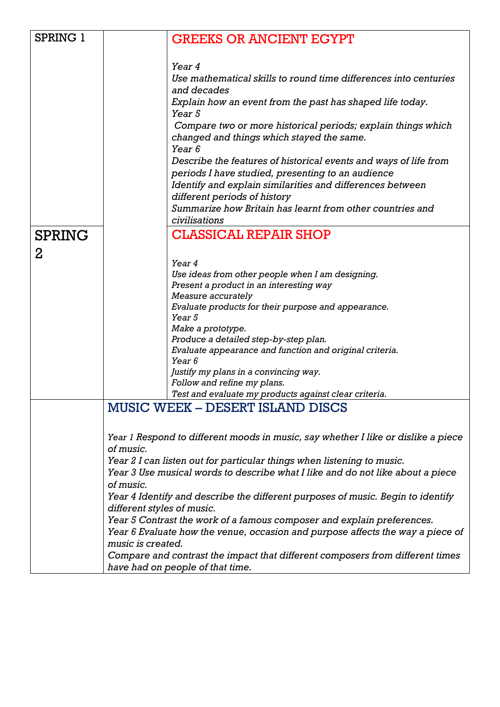| SPRING 1      | <b>GREEKS OR ANCIENT EGYPT</b>                                                       |
|---------------|--------------------------------------------------------------------------------------|
|               |                                                                                      |
|               | Year 4                                                                               |
|               | Use mathematical skills to round time differences into centuries                     |
|               | and decades                                                                          |
|               | Explain how an event from the past has shaped life today.<br>Year <sub>5</sub>       |
|               | Compare two or more historical periods; explain things which                         |
|               | changed and things which stayed the same.                                            |
|               | Year 6                                                                               |
|               | Describe the features of historical events and ways of life from                     |
|               | periods I have studied, presenting to an audience                                    |
|               | Identify and explain similarities and differences between                            |
|               | different periods of history                                                         |
|               | Summarize how Britain has learnt from other countries and<br>civilisations           |
|               | <b>CLASSICAL REPAIR SHOP</b>                                                         |
| <b>SPRING</b> |                                                                                      |
| 2             |                                                                                      |
|               | Year 4                                                                               |
|               | Use ideas from other people when I am designing.                                     |
|               | Present a product in an interesting way<br>Measure accurately                        |
|               | Evaluate products for their purpose and appearance.                                  |
|               | Year 5                                                                               |
|               | Make a prototype.                                                                    |
|               | Produce a detailed step-by-step plan.                                                |
|               | Evaluate appearance and function and original criteria.                              |
|               | Year <sub>6</sub>                                                                    |
|               | Justify my plans in a convincing way.                                                |
|               | Follow and refine my plans.<br>Test and evaluate my products against clear criteria. |
|               | MUSIC WEEK – DESERT ISLAND DISCS                                                     |
|               |                                                                                      |
|               | Year 1 Respond to different moods in music, say whether I like or dislike a piece    |
|               | of music.                                                                            |
|               | Year 2 I can listen out for particular things when listening to music.               |
|               | Year 3 Use musical words to describe what I like and do not like about a piece       |
|               | of music.                                                                            |
|               | Year 4 Identify and describe the different purposes of music. Begin to identify      |
|               | different styles of music.                                                           |
|               | Year 5 Contrast the work of a famous composer and explain preferences.               |
|               | Year 6 Evaluate how the venue, occasion and purpose affects the way a piece of       |
|               | music is created.                                                                    |
|               | Compare and contrast the impact that different composers from different times        |
|               | have had on people of that time.                                                     |